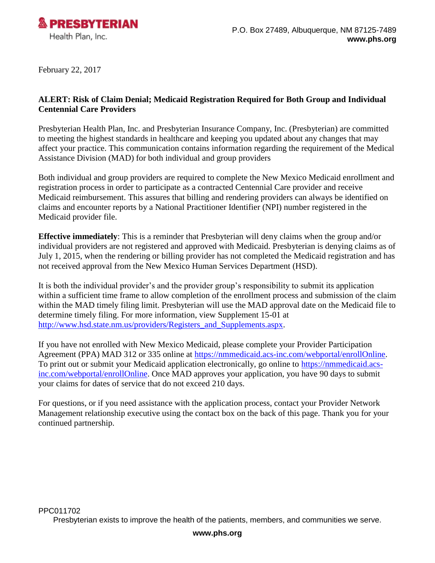

February 22, 2017

## **ALERT: Risk of Claim Denial; Medicaid Registration Required for Both Group and Individual Centennial Care Providers**

Presbyterian Health Plan, Inc. and Presbyterian Insurance Company, Inc. (Presbyterian) are committed to meeting the highest standards in healthcare and keeping you updated about any changes that may affect your practice. This communication contains information regarding the requirement of the Medical Assistance Division (MAD) for both individual and group providers

Both individual and group providers are required to complete the New Mexico Medicaid enrollment and registration process in order to participate as a contracted Centennial Care provider and receive Medicaid reimbursement. This assures that billing and rendering providers can always be identified on claims and encounter reports by a National Practitioner Identifier (NPI) number registered in the Medicaid provider file.

**Effective immediately**: This is a reminder that Presbyterian will deny claims when the group and/or individual providers are not registered and approved with Medicaid. Presbyterian is denying claims as of July 1, 2015, when the rendering or billing provider has not completed the Medicaid registration and has not received approval from the New Mexico Human Services Department (HSD).

It is both the individual provider's and the provider group's responsibility to submit its application within a sufficient time frame to allow completion of the enrollment process and submission of the claim within the MAD timely filing limit. Presbyterian will use the MAD approval date on the Medicaid file to determine timely filing. For more information, view Supplement 15-01 at [http://www.hsd.state.nm.us/providers/Registers\\_and\\_Supplements.aspx.](http://www.hsd.state.nm.us/providers/Registers_and_Supplements.aspx)

If you have not enrolled with New Mexico Medicaid, please complete your Provider Participation Agreement (PPA) MAD 312 or 335 online at [https://nmmedicaid.acs-inc.com/webportal/enrollOnline.](https://nmmedicaid.acs-inc.com/webportal/enrollOnline) To print out or submit your Medicaid application electronically, go online to [https://nmmedicaid.acs](https://nmmedicaid.acs-inc.com/webportal/enrollOnline)[inc.com/webportal/enrollOnline.](https://nmmedicaid.acs-inc.com/webportal/enrollOnline) Once MAD approves your application, you have 90 days to submit your claims for dates of service that do not exceed 210 days.

For questions, or if you need assistance with the application process, contact your Provider Network Management relationship executive using the contact box on the back of this page. Thank you for your continued partnership.